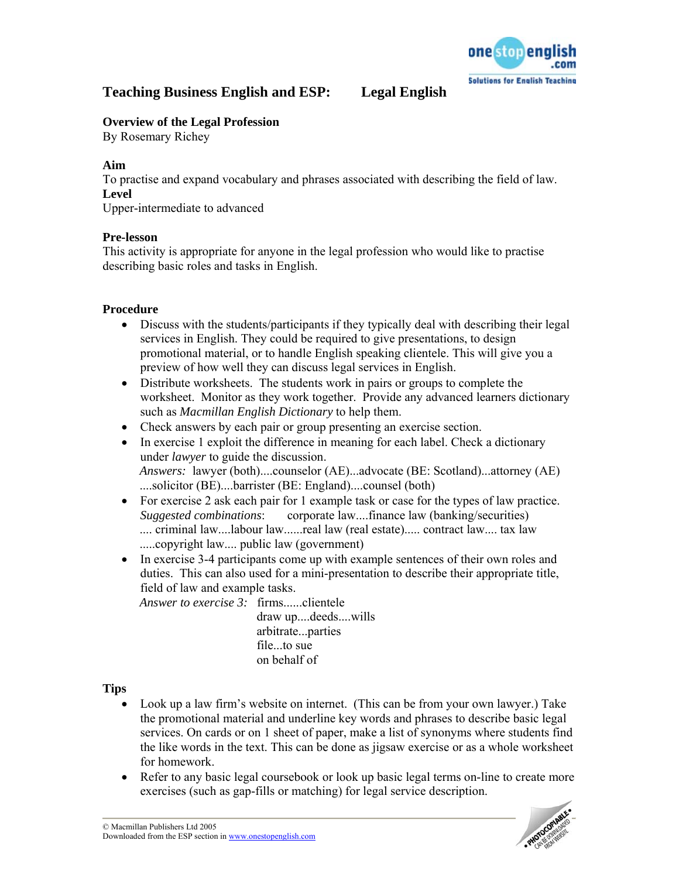

# **Teaching Business English and ESP: Legal English**

## **Overview of the Legal Profession**

By Rosemary Richey

#### **Aim**

To practise and expand vocabulary and phrases associated with describing the field of law. **Level** 

Upper-intermediate to advanced

### **Pre-lesson**

This activity is appropriate for anyone in the legal profession who would like to practise describing basic roles and tasks in English.

### **Procedure**

- Discuss with the students/participants if they typically deal with describing their legal services in English. They could be required to give presentations, to design promotional material, or to handle English speaking clientele. This will give you a preview of how well they can discuss legal services in English.
- Distribute worksheets. The students work in pairs or groups to complete the worksheet. Monitor as they work together. Provide any advanced learners dictionary such as *Macmillan English Dictionary* to help them.
- Check answers by each pair or group presenting an exercise section.
- In exercise 1 exploit the difference in meaning for each label. Check a dictionary under *lawyer* to guide the discussion. *Answers:* lawyer (both)....counselor (AE)...advocate (BE: Scotland)...attorney (AE) ....solicitor (BE)....barrister (BE: England)....counsel (both)
- For exercise 2 ask each pair for 1 example task or case for the types of law practice. *Suggested combinations*: corporate law....finance law (banking/securities) .... criminal law....labour law......real law (real estate)..... contract law.... tax law .....copyright law.... public law (government)
- In exercise 3-4 participants come up with example sentences of their own roles and duties. This can also used for a mini-presentation to describe their appropriate title, field of law and example tasks.

*Answer to exercise 3:* firms......clientele draw up....deeds....wills arbitrate...parties file...to sue on behalf of

#### **Tips**

- Look up a law firm's website on internet. (This can be from your own lawyer.) Take the promotional material and underline key words and phrases to describe basic legal services. On cards or on 1 sheet of paper, make a list of synonyms where students find the like words in the text. This can be done as jigsaw exercise or as a whole worksheet for homework.
- Refer to any basic legal coursebook or look up basic legal terms on-line to create more exercises (such as gap-fills or matching) for legal service description.